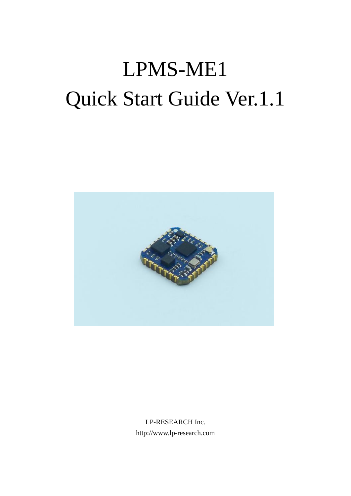# LPMS-ME1 Quick Start Guide Ver.1.1



LP-RESEARCH Inc. http://www.lp-research.com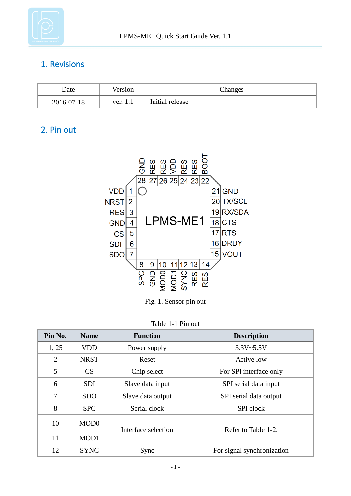

#### 1. Revisions

| Date       | Version  | Changes         |
|------------|----------|-----------------|
| 2016-07-18 | ver. 1.1 | Initial release |

#### 2. Pin out



Fig. 1. Sensor pin out

| Table 1-1 Pin out |  |  |
|-------------------|--|--|
|                   |  |  |

| Pin No. | <b>Name</b>      | <b>Function</b>     | <b>Description</b>         |  |
|---------|------------------|---------------------|----------------------------|--|
| 1, 25   | <b>VDD</b>       | Power supply        | $3.3V - 5.5V$              |  |
| 2       | <b>NRST</b>      | Reset               | Active low                 |  |
| 5       | CS               | Chip select         | For SPI interface only     |  |
| 6       | <b>SDI</b>       | Slave data input    | SPI serial data input      |  |
| 7       | <b>SDO</b>       | Slave data output   | SPI serial data output     |  |
| 8       | <b>SPC</b>       | Serial clock        | SPI clock                  |  |
| 10      | MOD <sub>0</sub> | Interface selection | Refer to Table 1-2.        |  |
| 11      | MOD1             |                     |                            |  |
| 12      | <b>SYNC</b>      | Sync                | For signal synchronization |  |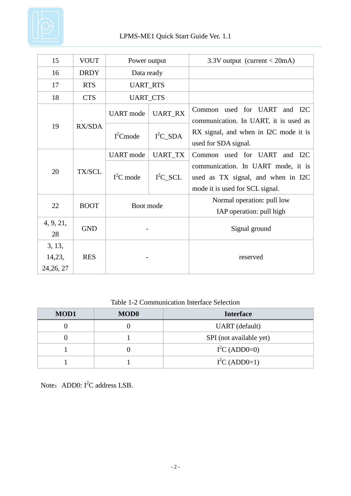

| 15                             | <b>VOUT</b>   | Power output     |                | 3.3V output (current $<$ 20mA)                                                                              |
|--------------------------------|---------------|------------------|----------------|-------------------------------------------------------------------------------------------------------------|
| 16                             | <b>DRDY</b>   | Data ready       |                |                                                                                                             |
| 17                             | <b>RTS</b>    | <b>UART_RTS</b>  |                |                                                                                                             |
| 18                             | <b>CTS</b>    | <b>UART_CTS</b>  |                |                                                                                                             |
| 19                             | <b>RX/SDA</b> | <b>UART</b> mode | <b>UART_RX</b> | used for UART and I2C<br>Common<br>communication. In UART, it is used as                                    |
|                                |               | $I2$ Cmode       | $I^2C$ _SDA    | RX signal, and when in I2C mode it is<br>used for SDA signal.                                               |
|                                |               | <b>UART</b> mode | <b>UART_TX</b> | Common used for UART<br>and I2C                                                                             |
| 20                             | TX/SCL        | $I^2C$ mode      | $I^2C$ _SCL    | communication. In UART mode, it is<br>used as TX signal, and when in I2C<br>mode it is used for SCL signal. |
| 22                             | <b>BOOT</b>   | Boot mode        |                | Normal operation: pull low                                                                                  |
|                                |               |                  |                | IAP operation: pull high                                                                                    |
| 4, 9, 21,<br>28                | <b>GND</b>    |                  |                | Signal ground                                                                                               |
| 3, 13,<br>14,23,<br>24, 26, 27 | <b>RES</b>    |                  |                | reserved                                                                                                    |

Table 1-2 Communication Interface Selection

| <b>MOD1</b> | <b>MOD0</b> | <b>Interface</b>        |
|-------------|-------------|-------------------------|
|             |             | UART (default)          |
|             |             | SPI (not available yet) |
|             |             | $I^2C$ (ADD0=0)         |
|             |             | $I^2C$ (ADD0=1)         |

Note: ADD0:  $I^2C$  address LSB.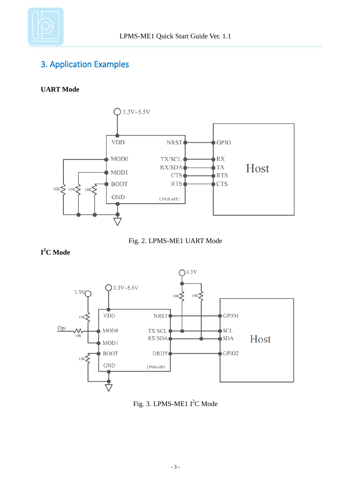

### 3. Application Examples

#### **UART Mode**





**I <sup>2</sup>C Mode**



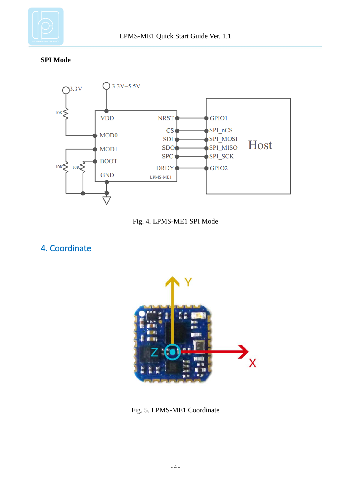

**SPI Mode**





4. Coordinate



Fig. 5. LPMS-ME1 Coordinate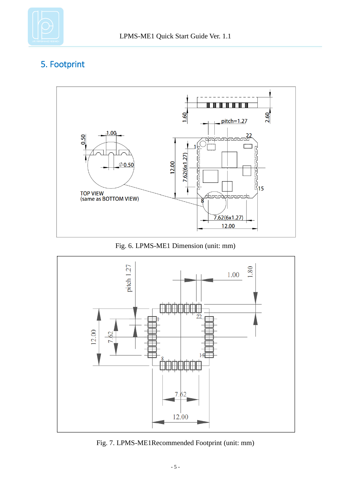

## 5. Footprint



Fig. 6. LPMS-ME1 Dimension (unit: mm)



Fig. 7. LPMS-ME1Recommended Footprint (unit: mm)